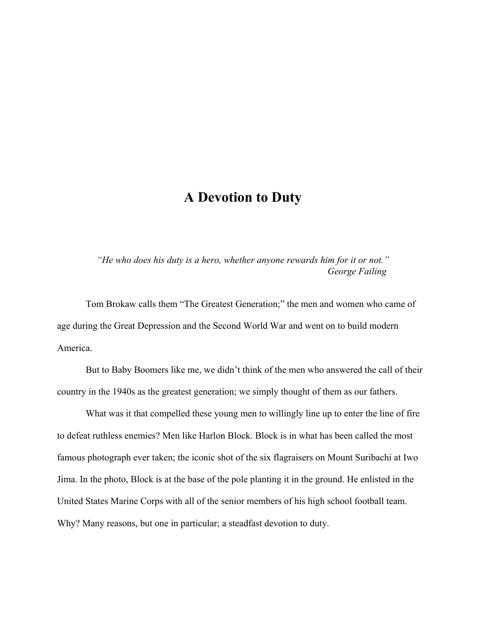## **A Devotion to Duty**

*"He who does his duty is a hero, whether anyone rewards him for it or not." George Failing*

Tom Brokaw calls them "The Greatest Generation;" the men and women who came of age during the Great Depression and the Second World War and went on to build modern America.

But to Baby Boomers like me, we didn't think of the men who answered the call of their country in the 1940s as the greatest generation; we simply thought of them as our fathers.

What was it that compelled these young men to willingly line up to enter the line of fire to defeat ruthless enemies? Men like Harlon Block. Block is in what has been called the most famous photograph ever taken; the iconic shot of the six flagraisers on Mount Suribachi at Iwo Jima. In the photo, Block is at the base of the pole planting it in the ground. He enlisted in the United States Marine Corps with all of the senior members of his high school football team. Why? Many reasons, but one in particular; a steadfast devotion to duty.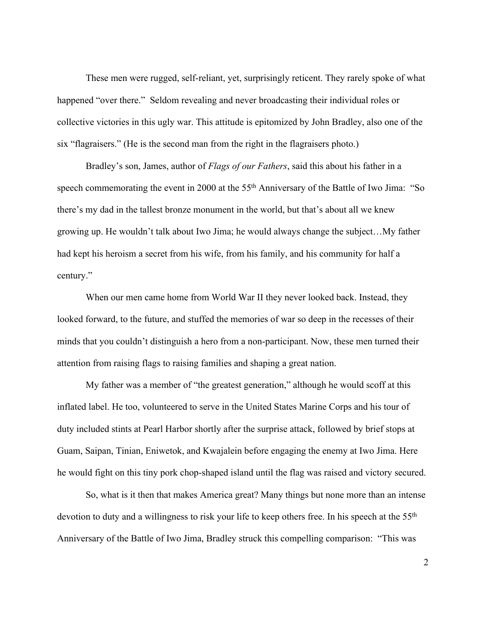These men were rugged, self-reliant, yet, surprisingly reticent. They rarely spoke of what happened "over there." Seldom revealing and never broadcasting their individual roles or collective victories in this ugly war. This attitude is epitomized by John Bradley, also one of the six "flagraisers." (He is the second man from the right in the flagraisers photo.)

Bradley's son, James, author of *Flags of our Fathers*, said this about his father in a speech commemorating the event in 2000 at the 55<sup>th</sup> Anniversary of the Battle of Iwo Jima: "So there's my dad in the tallest bronze monument in the world, but that's about all we knew growing up. He wouldn't talk about Iwo Jima; he would always change the subject…My father had kept his heroism a secret from his wife, from his family, and his community for half a century."

When our men came home from World War II they never looked back. Instead, they looked forward, to the future, and stuffed the memories of war so deep in the recesses of their minds that you couldn't distinguish a hero from a non-participant. Now, these men turned their attention from raising flags to raising families and shaping a great nation.

My father was a member of "the greatest generation," although he would scoff at this inflated label. He too, volunteered to serve in the United States Marine Corps and his tour of duty included stints at Pearl Harbor shortly after the surprise attack, followed by brief stops at Guam, Saipan, Tinian, Eniwetok, and Kwajalein before engaging the enemy at Iwo Jima. Here he would fight on this tiny pork chop-shaped island until the flag was raised and victory secured.

So, what is it then that makes America great? Many things but none more than an intense devotion to duty and a willingness to risk your life to keep others free. In his speech at the 55<sup>th</sup> Anniversary of the Battle of Iwo Jima, Bradley struck this compelling comparison: "This was

2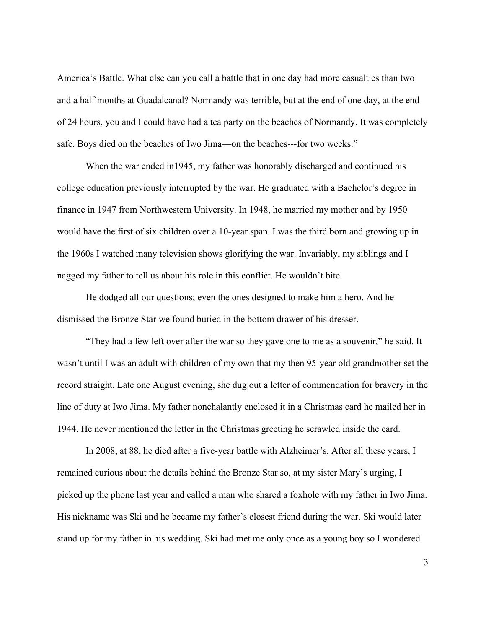America's Battle. What else can you call a battle that in one day had more casualties than two and a half months at Guadalcanal? Normandy was terrible, but at the end of one day, at the end of 24 hours, you and I could have had a tea party on the beaches of Normandy. It was completely safe. Boys died on the beaches of Iwo Jima—on the beaches---for two weeks."

When the war ended in 1945, my father was honorably discharged and continued his college education previously interrupted by the war. He graduated with a Bachelor's degree in finance in 1947 from Northwestern University. In 1948, he married my mother and by 1950 would have the first of six children over a 10-year span. I was the third born and growing up in the 1960s I watched many television shows glorifying the war. Invariably, my siblings and I nagged my father to tell us about his role in this conflict. He wouldn't bite.

He dodged all our questions; even the ones designed to make him a hero. And he dismissed the Bronze Star we found buried in the bottom drawer of his dresser.

"They had a few left over after the war so they gave one to me as a souvenir," he said. It wasn't until I was an adult with children of my own that my then 95-year old grandmother set the record straight. Late one August evening, she dug out a letter of commendation for bravery in the line of duty at Iwo Jima. My father nonchalantly enclosed it in a Christmas card he mailed her in 1944. He never mentioned the letter in the Christmas greeting he scrawled inside the card.

In 2008, at 88, he died after a five-year battle with Alzheimer's. After all these years, I remained curious about the details behind the Bronze Star so, at my sister Mary's urging, I picked up the phone last year and called a man who shared a foxhole with my father in Iwo Jima. His nickname was Ski and he became my father's closest friend during the war. Ski would later stand up for my father in his wedding. Ski had met me only once as a young boy so I wondered

3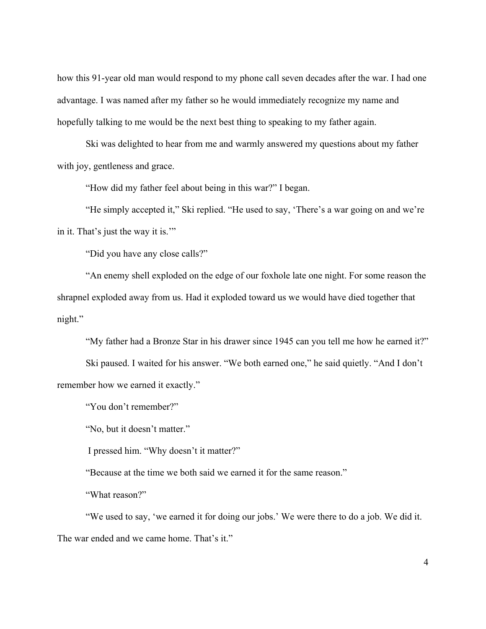how this 91-year old man would respond to my phone call seven decades after the war. I had one advantage. I was named after my father so he would immediately recognize my name and hopefully talking to me would be the next best thing to speaking to my father again.

Ski was delighted to hear from me and warmly answered my questions about my father with joy, gentleness and grace.

"How did my father feel about being in this war?" I began.

"He simply accepted it," Ski replied. "He used to say, 'There's a war going on and we're in it. That's just the way it is.'"

"Did you have any close calls?"

"An enemy shell exploded on the edge of our foxhole late one night. For some reason the shrapnel exploded away from us. Had it exploded toward us we would have died together that night."

"My father had a Bronze Star in his drawer since 1945 can you tell me how he earned it?"

Ski paused. I waited for his answer. "We both earned one," he said quietly. "And I don't remember how we earned it exactly."

"You don't remember?"

"No, but it doesn't matter."

I pressed him. "Why doesn't it matter?"

"Because at the time we both said we earned it for the same reason."

"What reason?"

"We used to say, 'we earned it for doing our jobs.' We were there to do a job. We did it. The war ended and we came home. That's it."